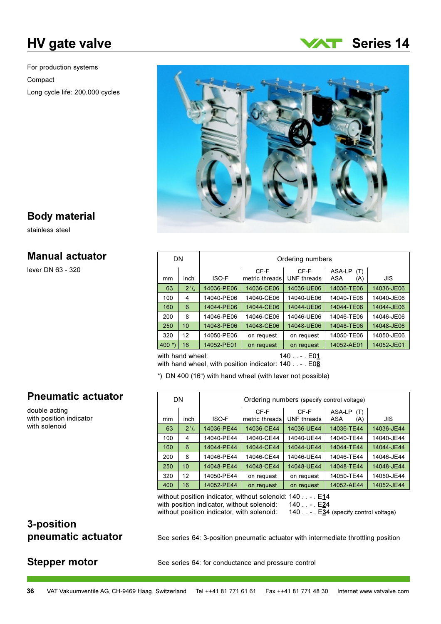# **HV** gate valve

For production systems Compact Long cycle life: 200,000 cycles





### **Body material**

stainless steel

### **Manual actuator**

lever DN 63 - 320

| DN        |           | Ordering numbers |                        |                            |                             |            |  |  |  |  |  |  |
|-----------|-----------|------------------|------------------------|----------------------------|-----------------------------|------------|--|--|--|--|--|--|
| mm        | inch      | ISO-F            | CF-F<br>metric threads | CF-F<br><b>UNF</b> threads | ASA-LP<br>(T)<br>ASA<br>(A) | JIS        |  |  |  |  |  |  |
| 63        | $2^{1/2}$ | 14036-PE06       | 14036-CE06             | 14036-UE06                 | 14036-TE06                  | 14036-JE06 |  |  |  |  |  |  |
| 100       | 4         | 14040-PE06       | 14040-CE06             | 14040-UE06                 | 14040-TE06                  | 14040-JE06 |  |  |  |  |  |  |
| 160       | 6         | 14044-PE06       | 14044-CE06             | 14044-UE06                 | 14044-TE06                  | 14044-JE06 |  |  |  |  |  |  |
| 200       | 8         | 14046-PE06       | 14046-CE06             | 14046-UE06                 | 14046-TE06                  | 14046-JE06 |  |  |  |  |  |  |
| 250       | 10        | 14048-PE06       | 14048-CE06             | 14048-UE06                 | 14048-TE06                  | 14048-JE06 |  |  |  |  |  |  |
| 320       | 12        | 14050-PE06       | on request             | on request                 | 14050-TE06                  | 14050-JE06 |  |  |  |  |  |  |
| 400 $*$ ) | 16        | 14052-PE01       | on request             | on request                 | 14052-AE01                  | 14052-JE01 |  |  |  |  |  |  |
|           |           |                  |                        |                            |                             |            |  |  |  |  |  |  |

with hand wheel:  $140...$   $E01$ with hand wheel, with position indicator: 140 . . - . E08

\*) DN 400 (16") with hand wheel (with lever not possible)

### **Pneumatic actuator**

double acting with position indicator with solenoid

|     | <b>DN</b>         | Ordering numbers (specify control voltage) |                        |                            |                             |            |  |  |  |  |  |
|-----|-------------------|--------------------------------------------|------------------------|----------------------------|-----------------------------|------------|--|--|--|--|--|
| mm  | inch              | ISO-F                                      | CF-F<br>metric threads | CF-F<br><b>UNF</b> threads | ASA-LP<br>(T)<br>ASA<br>(A) | JIS        |  |  |  |  |  |
| 63  | $2^{\frac{1}{2}}$ | 14036-PE44                                 | 14036-CE44             | 14036-UE44                 | 14036-TE44                  | 14036-JE44 |  |  |  |  |  |
| 100 | 4                 | 14040-PE44                                 | 14040-CE44             | 14040-UE44                 | 14040-TE44                  | 14040-JE44 |  |  |  |  |  |
| 160 | 6                 | 14044-PE44                                 | 14044-CE44             | 14044-UE44                 | 14044-TE44                  | 14044-JE44 |  |  |  |  |  |
| 200 | 8                 | 14046-PE44                                 | 14046-CE44             | 14046-UE44                 | 14046-TE44                  | 14046-JE44 |  |  |  |  |  |
| 250 | 10                | 14048-PE44                                 | 14048-CE44             | 14048-UE44                 | 14048-TE44                  | 14048-JE44 |  |  |  |  |  |
| 320 | 12                | 14050-PE44                                 | on request             | on request                 | 14050-TE44                  | 14050-JE44 |  |  |  |  |  |
| 400 | 16                | 14052-PE44                                 | on request             | on request                 | 14052-AE44                  | 14052-JE44 |  |  |  |  |  |

without position indicator, without solenoid: 140 . . - . E14 with position indicator, without solenoid: without position indicator, with solenoid:

140 . . - . E<u>2</u>4

140 . . - . E34 (specify control voltage)

## 3-position pneumatic actuator

### **Stepper motor**

See series 64: 3-position pneumatic actuator with intermediate throttling position

See series 64: for conductance and pressure control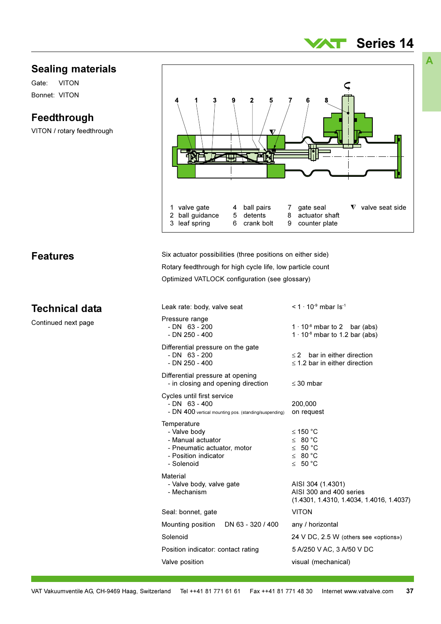### **Sealing materials**

**VITON** Gate: Bonnet: VITON

**Features** 

**Technical data** 

Continued next page

### Feedthrough

VITON / rotary feedthrough



| Leak rate: body, valve seat                                                                                           | $<$ 1 $\cdot$ 10 <sup>-9</sup> mbar Is <sup>-1</sup>                                       |  |  |  |  |
|-----------------------------------------------------------------------------------------------------------------------|--------------------------------------------------------------------------------------------|--|--|--|--|
| Pressure range<br>$- DN$ 63 - 200<br>$- DN 250 - 400$                                                                 | $1 \cdot 10^{-8}$ mbar to 2 bar (abs)<br>$1 \cdot 10^{-8}$ mbar to 1.2 bar (abs)           |  |  |  |  |
| Differential pressure on the gate<br>$- DN$ 63 - 200<br>$- DN 250 - 400$                                              | bar in either direction<br>$\leq$ 2<br>$\leq$ 1.2 bar in either direction                  |  |  |  |  |
| Differential pressure at opening<br>- in closing and opening direction                                                | $\leq$ 30 mbar                                                                             |  |  |  |  |
| Cycles until first service<br>$- DN$ 63 - 400<br>- DN 400 vertical mounting pos. (standing/suspending)                | 200,000<br>on request                                                                      |  |  |  |  |
| Temperature<br>- Valve body<br>- Manual actuator<br>- Pneumatic actuator, motor<br>- Position indicator<br>- Solenoid | ≤ 150 °C<br>≤ 80 °C<br>$\leq$ 50 °C<br>$\leq 80^{\circ}$ C<br>≤ 50 °C                      |  |  |  |  |
| Material<br>- Valve body, valve gate<br>- Mechanism                                                                   | AISI 304 (1.4301)<br>AISI 300 and 400 series<br>$(1.4301, 1.4310, 1.4034, 1.4016, 1.4037)$ |  |  |  |  |
| Seal: bonnet, gate                                                                                                    | <b>VITON</b>                                                                               |  |  |  |  |
| Mounting position<br>DN 63 - 320 / 400                                                                                | any / horizontal                                                                           |  |  |  |  |
| Solenoid                                                                                                              | 24 V DC, 2.5 W (others see «options»)                                                      |  |  |  |  |
| Position indicator: contact rating                                                                                    | 5 A/250 V AC, 3 A/50 V DC                                                                  |  |  |  |  |
| Valve position                                                                                                        | visual (mechanical)                                                                        |  |  |  |  |
|                                                                                                                       |                                                                                            |  |  |  |  |

A

**Series 14** 

ZT I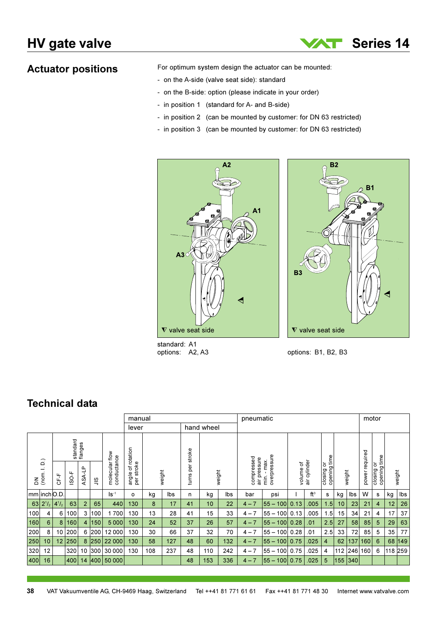**Actuator positions** 

For optimum system design the actuator can be mounted:

- on the A-side (valve seat side): standard
- on the B-side: option (please indicate in your order)
- in position 1 (standard for A- and B-side)
- in position 2 (can be mounted by customer: for DN 63 restricted)
- in position 3 (can be mounted by customer: for DN 63 restricted)



standard: A1 options: A2, A3

 $\nabla$  valve seat side options: B1, B2, B3

**Series 14** 

**B1** 

W

**B2** 

### **Technical data**

|                      |                                             |              |                     | manual         |                |                               |                                 |     | pneumatic |            |            |        |                            | motor                      |           |              |                              |     |        |                |                            |        |     |
|----------------------|---------------------------------------------|--------------|---------------------|----------------|----------------|-------------------------------|---------------------------------|-----|-----------|------------|------------|--------|----------------------------|----------------------------|-----------|--------------|------------------------------|-----|--------|----------------|----------------------------|--------|-----|
|                      |                                             |              |                     |                |                |                               | lever                           |     |           |            | hand wheel |        |                            |                            |           |              |                              |     |        |                |                            |        |     |
|                      |                                             |              | standard<br>flanges |                |                |                               |                                 |     |           | per stroke |            |        |                            |                            |           |              |                              |     |        |                |                            |        |     |
| 줌                    | $\widehat{\mathsf{d}}$<br>$\equiv$<br>(nom. | こ<br>と       | $1$ -SO-F           | 우<br>ASA.      | $\frac{8}{10}$ | molecular flow<br>conductance | angle of rotation<br>per stroke |     | weight    | turns      |            | weight | compressed<br>air pressure | overpressure<br>min. - max | volume of | air cylinder | opening time<br>ŏ<br>closing |     | weight | power required | opening time<br>closing or | weight |     |
| $mm$   inch $ O.D$ . |                                             |              |                     |                |                | $\mathsf{ls}^{-1}$            | $\circ$                         | kg  | lbs       | n          | kg         | lbs    | bar                        | psi                        |           | $ft^3$       | s                            | kg  | lbs    | W              | s                          | kg     | Ibs |
| 63                   | $2^{1}/_{2}$                                | $4^{1}/_{2}$ | 63                  | $\overline{2}$ | 65             | 440                           | 130                             | 8   | 17        | 41         | 10         | 22     | $4 - 7$                    | 55 – 100                   | 0.13      | .005         | 1.5                          | 10  | 23     | 21             | $\overline{4}$             | 12     | 26  |
| 100                  | 4                                           | 6            | 100                 | 3              | 100            | 700                           | 130                             | 13  | 28        | 41         | 15         | 33     | $4 - 7$                    | $55 - 100$                 | 0.13      | .005         | .5                           | 15  | 34     | 21             | 4                          | 17     | 37  |
| 160                  | 6                                           | 8            | 160                 | 4              | 150            | 5 0 0 0                       | 130                             | 24  | 52        | 37         | 26         | 57     | $4 - 7$                    | l55 – 100l                 | 0.28      | .01          | 2.5                          | 27  | 58     | 85             | 5                          | 29     | 63  |
| 200                  | 8                                           | 10           | 200                 | 6              | 200            | 12 000                        | 130                             | 30  | 66        | 37         | 32         | 70     | $4 - 7$                    | $ 55 - 100 $               | 0.28      | .01          | 2.5                          | 33  | 72     | 85             | 5                          | 35     | 77  |
| 250                  | 10                                          | 12           | 250                 | 8              | 250            | 22 000                        | 130                             | 58  | 127       | 48         | 60         | 132    | $4 - 7$                    | l55 – 100l                 | 0.75      | .025         | 4                            | 62  | 137    | 160            | 6                          | 68     | 149 |
| 320                  | 12                                          |              | 320                 | 10             | 300            | 30 000                        | 130                             | 108 | 237       | 48         | 110        | 242    | $4 - 7$                    | $55 - 100$                 | 0.75      | .025         | 4                            | 112 | 246    | 160            | 6                          | 118    | 259 |
| 400                  | 16                                          |              | 400                 | 14             | 1400           | 50 000                        |                                 |     |           | 48         | 153        | 336    | $4 - 7$                    | l55 —<br>100 <sup>1</sup>  | 0.75      | .025         | 5                            | 155 | 340    |                |                            |        |     |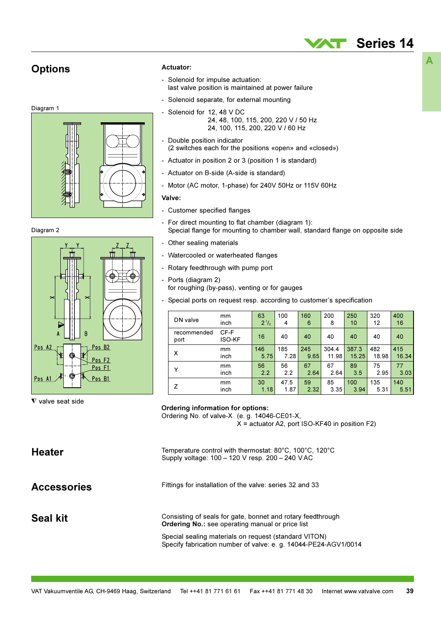### **Options**







#### $\nabla$  valve seat side

#### Actuator:

- Solenoid for impulse actuation: last valve position is maintained at power failure
- Solenoid separate, for external mounting  $\overline{a}$
- Solenoid for 12, 48 V DC  $\overline{a}$ 
	- 24, 48, 100, 115, 200, 220 V / 50 Hz 24, 100, 115, 200, 220 V / 60 Hz
- Double position indicator  $\overline{a}$ (2 switches each for the positions «open» and «closed»)
- Actuator in position 2 or 3 (position 1 is standard)
- Actuator on B-side (A-side is standard)
- Motor (AC motor, 1-phase) for 240V 50Hz or 115V 60Hz

#### Valve:

- Customer specified flanges
- $\overline{a}$ For direct mounting to flat chamber (diagram 1): Special flange for mounting to chamber wall, standard flange on opposite side
- Other sealing materials
- Watercooled or waterheated flanges
- Rotary feedthrough with pump port
- $\overline{a}$ Ports (diagram 2) for roughing (by-pass), venting or for gauges
- Special ports on request resp. according to customer's specification

| DN valve            | mm                    | 63        | 100  | 160  | 200   | 250   | 320   | 400   |
|---------------------|-----------------------|-----------|------|------|-------|-------|-------|-------|
|                     | inch                  | $2^{1/2}$ | 4    | 6    | 8     | 10    | 12    | 16    |
| recommended<br>port | CF-F<br><b>ISO-KF</b> | 16        | 40   | 40   | 40    | 40    | 40    | 40    |
| X                   | mm                    | 146       | 185  | 245  | 304.4 | 387.3 | 482   | 415   |
|                     | inch                  | 5.75      | 7.28 | 9.65 | 11.98 | 15.25 | 18.98 | 16.34 |
| Y                   | mm                    | 56        | 56   | 67   | 67    | 89    | 75    | 77    |
|                     | inch                  | 2.2       | 2.2  | 2.64 | 2.64  | 3.5   | 2.95  | 3.03  |
| z                   | mm                    | 30        | 47.5 | 59   | 85    | 100   | 135   | 140   |
|                     | inch                  | 1.18      | 1.87 | 2.32 | 3.35  | 3.94  | 5.31  | 5.51  |

#### **Ordering information for options:**

Ordering No. of valve-X (e.g. 14046-CE01-X,  $X =$  actuator A2, port ISO-KF40 in position F2)

Temperature control with thermostat: 80°C, 100°C, 120°C **Heater** Supply voltage: 100 - 120 V resp. 200 - 240 VAC Fittings for installation of the valve: series 32 and 33 **Accessories** Seal kit

Consisting of seals for gate, bonnet and rotary feedthrough Ordering No.: see operating manual or price list

Special sealing materials on request (standard VITON) Specify fabrication number of valve: e. g. 14044-PE24-AGV1/0014 A

**Series 14**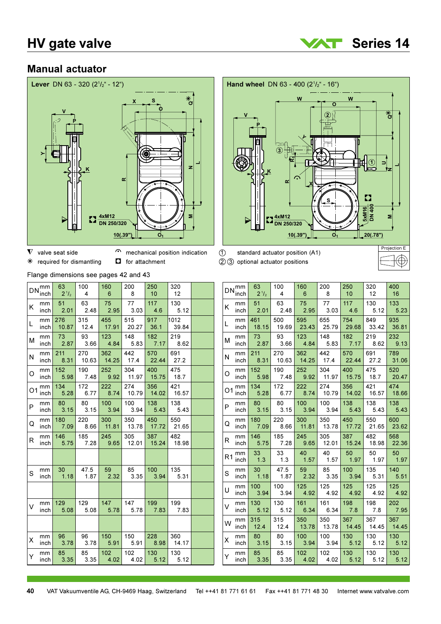

### **Manual actuator**





- $\nabla$  valve seat side
- mechanical position indication

 $\Box$  for attachment  $*$  required for dismantling

Flange dimensions see pages 42 and 43

|    | $DN_{\text{inch}}^{\text{mm}}$ | 63<br>$2^{1}/_{2}$      | 100<br>-4    | 160<br>-6                | 200<br>8     | 250<br>10 <sup>°</sup>   | 320<br>12     |  |
|----|--------------------------------|-------------------------|--------------|--------------------------|--------------|--------------------------|---------------|--|
| K  | mm<br>inch                     | 51<br>2.01              | 63<br>2.48   | 75<br>2.95               | 77<br>3.03   | 117<br>4.6               | 130<br>5.12   |  |
| L  | mm<br>inch                     | 276<br>10.87            | 315<br>12.4  | 455<br>17.91             | 515<br>20.27 | 917<br>36.1              | 1012<br>39.84 |  |
| М  | mm<br>inch                     | 73<br>2.87              | 93<br>3.66   | $123 -$<br>4.84          | 148<br>5.83  | 182<br>7.17              | 219<br>8.62   |  |
| И  | mm<br>inch                     | 211<br>8.31             | 270<br>10.63 | 362<br>14.25             | 442<br>17.4  | 570<br>22.44             | 691<br>27.2   |  |
| O  | mm<br>inch                     | $152 -$<br>5.98         | 190<br>7.48  | 252<br>9.92              | 304<br>11.97 | 400<br>15.75             | 475<br>18.7   |  |
| O1 | mm<br>inch                     | 134<br>5.28             | 172<br>6.77  | 222<br>8.74              | 274<br>10.79 | 356<br>14.02             | 421<br>16.57  |  |
| P  | mm<br>inch                     | 80<br>3.15              | 80<br>3.15   | 100 <sub>1</sub><br>3.94 | 100<br>3.94  | 138<br>5.43              | 138<br>5.43   |  |
| Q  | mm<br>inch                     | 180<br>7.09             | 220<br>8.66  | $300 -$<br>11.81         | 350<br>13.78 | 450<br>17.72             | 550<br>21.65  |  |
| R  | mm<br>inch                     | 146<br>5.75             | 185<br>7.28  | 245<br>9.65              | 305<br>12.01 | 387<br>15.24             | 482<br>18.98  |  |
|    |                                |                         |              |                          |              |                          |               |  |
| S  | mm<br>inch                     | 30 <sup>2</sup><br>1.18 | 47.5<br>1.87 | 59<br>2.32               | 85<br>3.35   | 100 <sub>1</sub><br>3.94 | 135<br>5.31   |  |
|    |                                |                         |              |                          |              |                          |               |  |
| V  | mm<br>inch                     | 129<br>5.08             | 129<br>5.08  | 147<br>5.78              | 147<br>5.78  | 199<br>7.83              | 199<br>7.83   |  |
|    |                                |                         |              |                          |              |                          |               |  |
| X  | mm<br>inch                     | 96<br>3.78              | 96<br>3.78   | 150<br>5.91              | 150<br>5.91  | 228<br>8.98              | 360<br>14.17  |  |
| Y  | mm<br>inch                     | 85<br>3.35              | 85<br>3.35   | 102 <sub>1</sub><br>4.02 | 102          | 130<br>$4.02$ 5.12       | 130<br>5.12   |  |

 $\odot$ standard actuator position (A1) 23 optional actuator positions

|                | $DN_{\cdots}^{mm}$ | 63        | 100   | 160   | 200   | 250   | 320   | 400   |
|----------------|--------------------|-----------|-------|-------|-------|-------|-------|-------|
|                | inch               | $2^{1/2}$ | 4     | 6     | 8     | 10    | 12    | 16    |
| K.             | mm                 | 51        | 63    | 75    | 77    | 117   | 130   | 133   |
|                | inch               | 2.01      | 2.48  | 2.95  | 3.03  | 4.6   | 5.12  | 5.23  |
| L              | mm                 | 461       | 500   | 595   | 655   | 754   | 849   | 935   |
|                | inch               | 18.15     | 19.69 | 23.43 | 25.79 | 29.68 | 33.42 | 36.81 |
| М              | mm                 | 73        | 93    | 123   | 148   | 182   | 219   | 232   |
|                | inch               | 2.87      | 3.66  | 4.84  | 5.83  | 7.17  | 8.62  | 9.13  |
| N              | mm                 | 211       | 270   | 362   | 442   | 570   | 691   | 789   |
|                | inch               | 8.31      | 10.63 | 14.25 | 17.4  | 22.44 | 27.2  | 31.06 |
| O              | mm                 | 152       | 190   | 252   | 304   | 400   | 475   | 520   |
|                | inch               | 5.98      | 7.48  | 9.92  | 11.97 | 15.75 | 18.7  | 20.47 |
| O1             | mm                 | 134       | 172   | 222   | 274   | 356   | 421   | 474   |
|                | inch               | 5.28      | 6.77  | 8.74  | 10.79 | 14.02 | 16.57 | 18.66 |
| P              | mm                 | 80        | 80    | 100   | 100   | 138   | 138   | 138   |
|                | inch               | 3.15      | 3.15  | 3.94  | 3.94  | 5.43  | 5.43  | 5.43  |
| Q              | mm                 | 180       | 220   | 300   | 350   | 450   | 550   | 600   |
|                | inch               | 7.09      | 8.66  | 11.81 | 13.78 | 17.72 | 21.65 | 23.62 |
| R              | mm                 | 146       | 185   | 245   | 305   | 387   | 482   | 568   |
|                | inch               | 5.75      | 7.28  | 9.65  | 12.01 | 15.24 | 18.98 | 22.36 |
| R <sub>1</sub> | mm                 | 33        | 33    | 40    | 40    | 50    | 50    | 50    |
|                | inch               | 1.3       | 1.3   | 1.57  | 1.57  | 1.97  | 1.97  | 1.97  |
| S              | mm                 | 30        | 47.5  | 59    | 85    | 100   | 135   | 140   |
|                | inch               | 1.18      | 1.87  | 2.32  | 3.35  | 3.94  | 5.31  | 5.51  |
| U              | mm                 | 100       | 100   | 125   | 125   | 125   | 125   | 125   |
|                | inch               | 3.94      | 3.94  | 4.92  | 4.92  | 4.92  | 4.92  | 4.92  |
| V              | mm                 | 130       | 130   | 161   | 161   | 198   | 198   | 202   |
|                | inch               | 5.12      | 5.12  | 6.34  | 6.34  | 7.8   | 7.8   | 7.95  |
| W              | mm                 | 315       | 315   | 350   | 350   | 367   | 367   | 367   |
|                | inch               | 12.4      | 12.4  | 13.78 | 13.78 | 14.45 | 14.45 | 14.45 |
| Χ              | mm                 | 80        | 80    | 100   | 100   | 130   | 130   | 130   |
|                | inch               | 3.15      | 3.15  | 3.94  | 3.94  | 5.12  | 5.12  | 5.12  |
| Υ              | mm                 | 85        | 85    | 102   | 102   | 130   | 130   | 130   |
|                | inch               | 3.35      | 3.35  | 4.02  | 4.02  | 5.12  | 5.12  | 5.12  |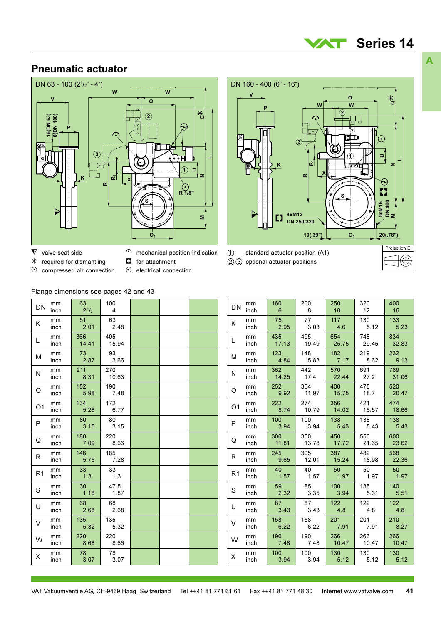#### Series 14 **AST**

 $\overline{\mathbf{a}}^*$ 

€

♦ 400 5xM16 ່∣౾

ś

 $20(.78")$ 

Projection E

 $\mathbf{o}$ 

 $\overline{\mathbf{w}}$ 

w

 $\alpha$ 

4xM12

**DN 250/320** 

### **Pneumatic actuator**



- $\nabla$  valve seat side
- $\curvearrowright$ mechanical position indication
- $\ast$ required for dismantling  $\odot$
- $\Box$ for attachment
- compressed air connection
- 
- $\Theta$ electrical connection



DN 160 - 400 (6" - 16")

| DN             | mm   | 160   | 200   | 250    | 320   | 400   |
|----------------|------|-------|-------|--------|-------|-------|
|                | inch | 6     | 8     | 10     | 12    | 16    |
| K              | mm   | 75    | 77    | 117    | 130   | 133   |
|                | inch | 2.95  | 3.03  | 4.6    | 5.12  | 5.23  |
| L              | mm   | 435   | 495   | 654    | 748   | 834   |
|                | inch | 17.13 | 19.49 | 25.75  | 29.45 | 32.83 |
| M              | mm   | 123   | 148   | 182    | 219   | 232   |
|                | inch | 4.84  | 5.83  | 7.17   | 8.62  | 9.13  |
| N              | mm   | 362   | 442   | 570    | 691   | 789   |
|                | inch | 14.25 | 17.4  | 22.44  | 27.2  | 31.06 |
| O              | mm   | 252   | 304   | 400    | 475   | 520   |
|                | inch | 9.92  | 11.97 | 15.75  | 18.7  | 20.47 |
| O1             | mm   | 222   | 274   | 356    | 421   | 474   |
|                | inch | 8.74  | 10.79 | 14.02  | 16.57 | 18.66 |
| P              | mm   | 100   | 100   | 138    | 138   | 138   |
|                | inch | 3.94  | 3.94  | 5.43   | 5.43  | 5.43  |
| Q              | mm   | 300   | 350   | 450    | 550   | 600   |
|                | inch | 11.81 | 13.78 | 17.72  | 21.65 | 23.62 |
| R              | mm   | 245   | 305   | 387    | 482   | 568   |
|                | inch | 9.65  | 12.01 | 15.24  | 18.98 | 22.36 |
| R <sub>1</sub> | mm   | 40    | 40    | 50     | 50    | 50    |
|                | inch | 1.57  | 1.57  | 1.97   | 1.97  | 1.97  |
| S              | mm   | 59    | 85    | 100    | 135   | 140   |
|                | inch | 2.32  | 3.35  | 3.94   | 5.31  | 5.51  |
| U              | mm   | 87    | 87    | 122    | 122   | 122   |
|                | inch | 3.43  | 3.43  | 4.8    | 4.8   | 4.8   |
| V              | mm   | 158   | 158   | 201    | 201   | 210   |
|                | inch | 6.22  | 6.22  | 7.91   | 7.91  | 8.27  |
| W              | mm   | 190   | 190   | 266    | 266   | 266   |
|                | inch | 7.48  | 7.48  | 10.47  | 10.47 | 10.47 |
| Χ              | mm   | 100   | 100   | 130    | 130   | 130   |
|                | inch | 3 94  | 3 94  | $-512$ | 512   | 512   |

### Flange dimensions see pages 42 and 43

| DN             | mm<br>inch | 63<br>$2^{1/2}$ | 100<br>4     |  |  |
|----------------|------------|-----------------|--------------|--|--|
| Κ              | mm<br>inch | 51<br>2.01      | 63<br>2.48   |  |  |
| L              | mm<br>inch | 366<br>14.41    | 405<br>15.94 |  |  |
| М              | mm<br>inch | 73<br>2.87      | 93<br>3.66   |  |  |
| N              | mm<br>inch | 211<br>8.31     | 270<br>10.63 |  |  |
| O              | mm<br>inch | 152<br>5.98     | 190<br>7.48  |  |  |
| O <sub>1</sub> | mm<br>inch | 134<br>5.28     | 172<br>6.77  |  |  |
| P              | mm<br>inch | 80<br>3.15      | 80<br>3.15   |  |  |
| Q              | mm<br>inch | 180<br>7.09     | 220<br>8.66  |  |  |
| R              | mm<br>inch | 146<br>5.75     | 185<br>7.28  |  |  |
| R <sub>1</sub> | mm<br>inch | 33<br>1.3       | 33<br>1.3    |  |  |
| S              | mm<br>inch | 30<br>1.18      | 47.5<br>1.87 |  |  |
| U              | mm<br>inch | 68<br>2.68      | 68<br>2.68   |  |  |
| V              | mm<br>inch | 135<br>5.32     | 135<br>5.32  |  |  |
| W              | mm<br>inch | 220<br>8.66     | 220<br>8.66  |  |  |
| X              | mm<br>inch | 78<br>3.07      | 78<br>3.07   |  |  |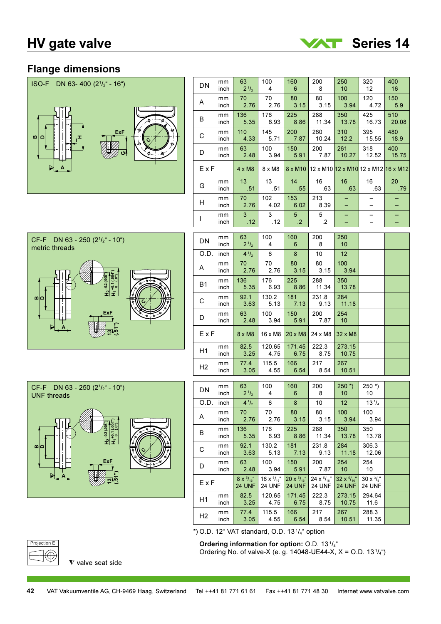

### **Flange dimensions**



| CF-F DN 63 - 250 $(2^{1}/2^{1} - 10^{10})$<br>metric threads               |
|----------------------------------------------------------------------------|
| $\frac{H_2 - 0.2(008)^4}{H_1 + 0.1(004)}$<br>$1.6 + 0.7$<br>m<br>۴.<br>ExF |



| DN             | mm<br>inch | 63<br>$2^{1/2}$       | 100<br>4         | 160<br>6                    | 200<br>8      | 250<br>10       | 320<br>12                           | 400<br>16    |
|----------------|------------|-----------------------|------------------|-----------------------------|---------------|-----------------|-------------------------------------|--------------|
| A              | mm<br>inch | 70<br>2.76            | 70<br>2.76       | 80<br>3.15                  | 80<br>3.15    | 100<br>3.94     | 120<br>4.72                         | 150<br>5.9   |
| В              | mm<br>inch | 136<br>5.35           | 176<br>6.93      | 225<br>8.86                 | 288<br>11.34  | 350<br>13.78    | 425<br>16.73                        | 510<br>20.08 |
| С              | mm<br>inch | 110<br>4.33           | 145<br>5.71      | 200<br>7.87                 | 260<br>10.24  | 310<br>12.2     | 395<br>15.55                        | 480<br>18.9  |
| D              | mm<br>inch | 63<br>2.48            | 100<br>3.94      | 150<br>5.91                 | 200<br>7.87   | 261<br>10.27    | 318<br>12.52                        | 400<br>15.75 |
| ExF            |            | $4 \times M8$         | $8 \times M8$    | 8 x M10                     |               |                 | 12 x M10 12 x M10 12 x M12 16 x M12 |              |
| G              | mm<br>inch | 13<br>.51             | 13<br>.51        | 14<br>.55                   | 16<br>.63     | 16<br>.63       | 16<br>.63                           | 20<br>.79    |
| H              | mm<br>inch | 70<br>2.76            | 102<br>4.02      | 153<br>6.02                 | 213<br>8.39   |                 |                                     | -            |
| L              | mm<br>inch | 3 <sup>1</sup><br>.12 | 3<br>.12         | 5 <sub>1</sub><br>$\cdot$ 2 | 5<br>$\cdot$  |                 | <u>.</u>                            |              |
|                |            |                       |                  |                             |               |                 |                                     |              |
| DN             | mm<br>inch | 63<br>$2^{.1}/_{2}$   | 100<br>4         | 160<br>6                    | 200<br>8      | 250<br>10       |                                     |              |
| O.D.           | inch       | $4^{1}/_{2}$          | 6                | 8                           | 10            | 12              |                                     |              |
| A              | mm<br>inch | 70<br>2.76            | 70<br>2.76       | 80<br>3.15                  | 80<br>3.15    | 100<br>3.94     |                                     |              |
| B <sub>1</sub> | mm<br>inch | 136<br>5.35           | 176<br>6.93      | 225<br>8.86                 | 288<br>11.34  | 350<br>13.78    |                                     |              |
| С              | mm<br>inch | 92.1<br>3.63          | 130.2<br>5.13    | 181<br>7.13                 | 231.8<br>9.13 | 284<br>11.18    |                                     |              |
| D              | mm<br>inch | 63<br>2.48            | 100<br>3.94      | 150<br>5.91                 | 200<br>7.87   | 254<br>10       |                                     |              |
| ExF            |            | $8 \times M8$         | 16 x M8          | 20 x M8                     | 24 x M8       | 32 x M8         |                                     |              |
| H1             | mm<br>inch | 82.5<br>3.25          | 120.65<br>4.75   | 171.45<br>6.75              | 222.3<br>8.75 | 273.15<br>10.75 |                                     |              |
| H2             | mm<br>inch | 77.4<br>3.05          | 115.5<br>4.55    | 166<br>6.54                 | 217<br>8.54   | 267<br>10.51    |                                     |              |
|                |            |                       |                  |                             |               |                 |                                     |              |
| DN             | mm<br>inch | 63<br>$2^{1/2}$       | 100<br>4         | 160<br>6                    | 200<br>8      | $250*$<br>10    | $250$ $*$ )<br>10                   |              |
| O.D.           | inch       | $4^{1}/_{2}$          | 6                | 8                           | 10            | 12 <sub>2</sub> | $13^{1}/_{4}$                       |              |
| Α              | mm<br>inch | 70<br>2.76            | 70<br>2.76       | 80<br>3.15                  | 80<br>3.15    | 100<br>3.94     | 100<br>3.94                         |              |
| В              | mm<br>inch | 136<br>5.35           | 176<br>6.93      | 225<br>8.86                 | 288<br>11.34  | 350<br>13.78    | 350<br>13.78                        |              |
| С              | mm<br>inch | 92.1<br>3.63          | 130.2<br>5.13    | 181<br>7.13                 | 231.8<br>9.13 | 284<br>11.18    | 306.3<br>12.06                      |              |
|                | mm         | 63                    | 100 <sub>1</sub> | 150 <sub>1</sub>            | 200           | 254             | 254                                 |              |

|                |            | 4.12                              | −                                    | ັ                                           | ັ                            | 1 U                                         | 1 V                              |  |
|----------------|------------|-----------------------------------|--------------------------------------|---------------------------------------------|------------------------------|---------------------------------------------|----------------------------------|--|
| O.D.           | inch       | $4^{1/2}$                         | 6                                    | 8                                           | 10                           | 12 <sup>2</sup>                             | $13^{1}/_{4}$                    |  |
| Α              | mm<br>inch | 70<br>2.76                        | 70<br>2.76                           | 80<br>3.15                                  | 80<br>3.15                   | 100<br>3.94                                 | 100<br>3.94                      |  |
| В              | mm<br>inch | 136<br>5.35                       | 176<br>6.93                          | 225<br>8.86                                 | 288<br>11.34                 | 350<br>13.78                                | 350<br>13.78                     |  |
| С              | mm<br>inch | 92.1<br>3.63                      | 130.2<br>5.13                        | 181<br>7.13                                 | 231.8<br>9.13                | 284<br>11.18                                | 306.3<br>12.06                   |  |
| D              | mm<br>inch | 63<br>2.48                        | 100<br>3.94                          | 150<br>5.91                                 | 200<br>7.87                  | 254<br>10                                   | 254<br>10                        |  |
| ExF            |            | $8x^{5}/_{16}$ "<br><b>24 UNF</b> | 16 x $^{5}/_{16}$ "<br><b>24 UNF</b> | $20 \times \frac{5}{16}$ "<br><b>24 UNF</b> | 24 x $5/16$<br><b>24 UNF</b> | $32 \times \frac{5}{16}$ "<br><b>24 UNF</b> | $30x^{3}/x^{4}$<br><b>24 UNF</b> |  |
| H1             | mm<br>inch | 82.5<br>3.25                      | 120.65<br>4.75                       | 171.45<br>6.75                              | 222.3<br>8.75                | 273.15<br>10.75                             | 294.64<br>11.6                   |  |
| H <sub>2</sub> | mm<br>inch | 77.4<br>3.05                      | 115.5<br>4.55                        | 166<br>6.54                                 | 217<br>8.54                  | 267<br>10.51                                | 288.3<br>11.35                   |  |

Projection E

 $\nabla$  valve seat side

\*) O.D. 12" VAT standard, O.D. 13<sup>1</sup>/4" option Ordering information for option: O.D. 13<sup>1</sup>/<sub>4</sub>"

Ordering No. of valve-X (e. g. 14048-UE44-X, X = O.D. 13 $\frac{1}{4}$ )